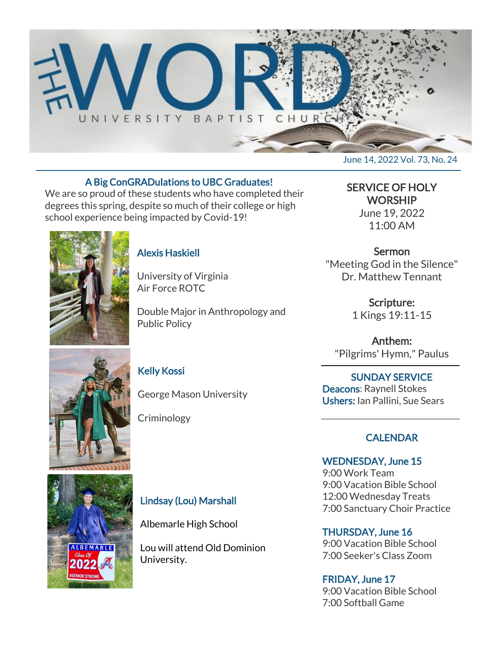

#### A Big ConGRADulations to UBC Graduates!

We are so proud of these students who have completed their degrees this spring, despite so much of their college or high school experience being impacted by Covid-19!



#### Alexis Haskiell

University of Virginia Air Force ROTC

Double Major in Anthropology and Public Policy

#### Kelly Kossi

George Mason University

Criminology

## SERVICE OF HOLY **WORSHIP** June 19, 2022

11:00 AM

## Sermon

"Meeting God in the Silence" Dr. Matthew Tennant

> Scripture: 1 Kings 19:11-15

Anthem: "Pilgrims' Hymn," Paulus

## SUNDAY SERVICE

Deacons: Raynell Stokes Ushers: Ian Pallini, Sue Sears

## **CALENDAR**

WEDNESDAY, June 15 9:00 Work Team 9:00 Vacation Bible School 12:00 Wednesday Treats 7:00 Sanctuary Choir Practice

THURSDAY, June 16 9:00 Vacation Bible School 7:00 Seeker's Class Zoom

FRIDAY, June 17 9:00 Vacation Bible School 7:00 Softball Game



**ALBEMARLE** 

 $2022$ 

Lindsay (Lou) Marshall

Albemarle High School

Lou will attend Old Dominion University.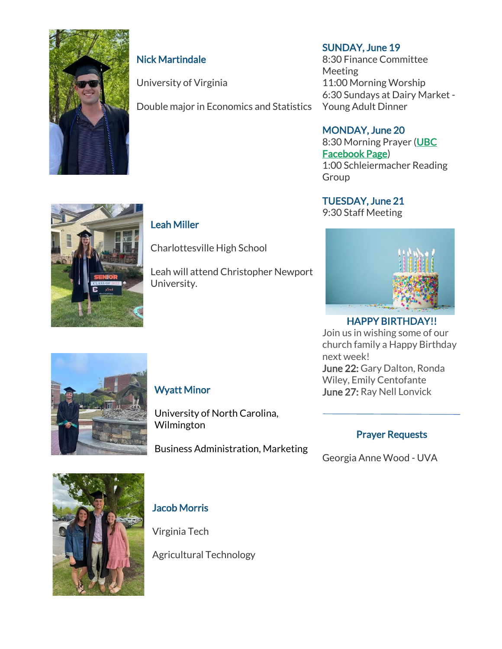

## Nick Martindale

University of Virginia

Leah Miller

University.

Charlottesville High School

Leah will attend Christopher Newport

Double major in Economics and Statistics

## SUNDAY, June 19

8:30 Finance Committee **Meeting** 11:00 Morning Worship 6:30 Sundays at Dairy Market - Young Adult Dinner

#### MONDAY, June 20

8:30 Morning Prayer [\(UBC](https://www.facebook.com/UniversityBaptistChurchCharlottesville) [Facebook Page\)](https://www.facebook.com/UniversityBaptistChurchCharlottesville) 1:00 Schleiermacher Reading Group

## TUESDAY, June 21

9:30 Staff Meeting



## HAPPY BIRTHDAY!!

Join us in wishing some of our church family a Happy Birthday next week! June 22: Gary Dalton, Ronda Wiley, Emily Centofante June 27: Ray Nell Lonvick



## Wyatt Minor

University of North Carolina, Wilmington

Business Administration, Marketing

#### Prayer Requests

Georgia Anne Wood - UVA



## Jacob Morris

Virginia Tech

Agricultural Technology

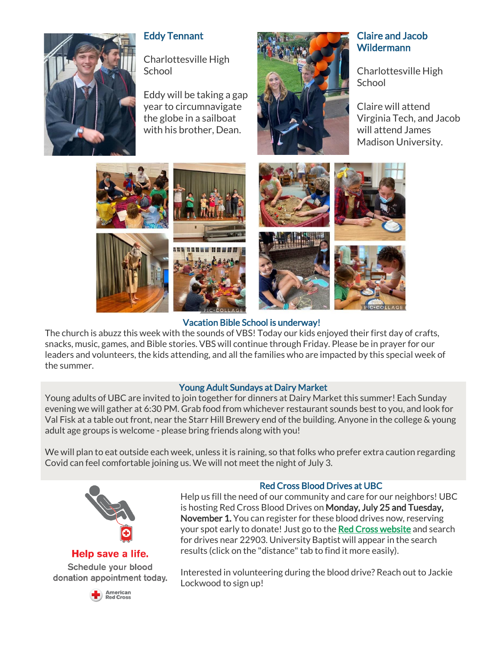

## Eddy Tennant

Charlottesville High **School** 

Eddy will be taking a gap year to circumnavigate the globe in a sailboat with his brother, Dean.



#### Claire and Jacob **Wildermann**

Charlottesville High School

Claire will attend Virginia Tech, and Jacob will attend James Madison University.



## Vacation Bible School is underway!

The church is abuzz this week with the sounds of VBS! Today our kids enjoyed their first day of crafts, snacks, music, games, and Bible stories. VBS will continue through Friday. Please be in prayer for our leaders and volunteers, the kids attending, and all the families who are impacted by this special week of the summer.

#### Young Adult Sundays at Dairy Market

Young adults of UBC are invited to join together for dinners at Dairy Market this summer! Each Sunday evening we will gather at 6:30 PM. Grab food from whichever restaurant sounds best to you, and look for Val Fisk at a table out front, near the Starr Hill Brewery end of the building. Anyone in the college & young adult age groups is welcome - please bring friends along with you!

We will plan to eat outside each week, unless it is raining, so that folks who prefer extra caution regarding Covid can feel comfortable joining us. We will not meet the night of July 3.



#### Help save a life.

Schedule your blood donation appointment today.



#### Red Cross Blood Drives at UBC

Help us fill the need of our community and care for our neighbors! UBC is hosting Red Cross Blood Drives on Monday, July 25 and Tuesday, November 1. You can register for these blood drives now, reserving your spot early to donate! Just go to the [Red Cross website](https://www.redcrossblood.org/give.html/find-drive) and search for drives near 22903. University Baptist will appear in the search results (click on the "distance" tab to find it more easily).

Interested in volunteering during the blood drive? Reach out to Jackie Lockwood to sign up!